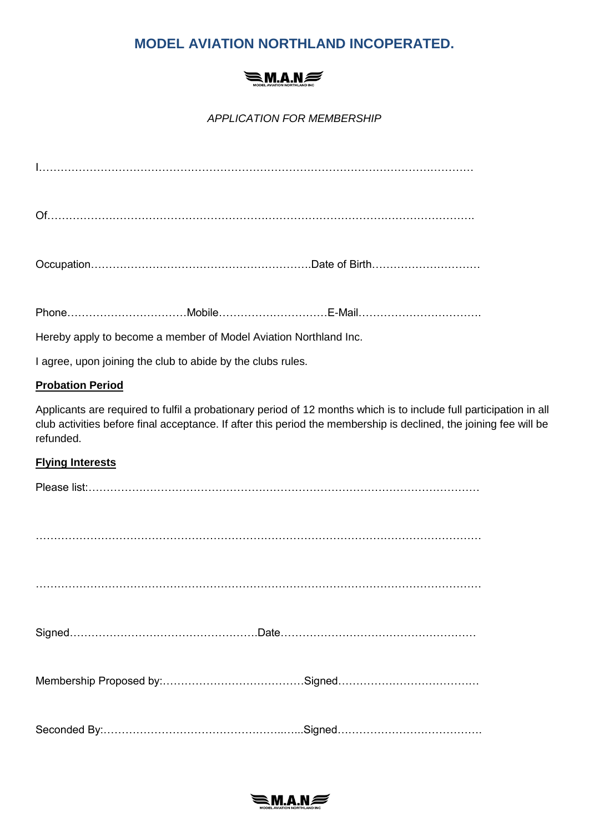# **MODEL AVIATION NORTHLAND INCOPERATED.**

# $\leq$ M.A.N $\approx$

*APPLICATION FOR MEMBERSHIP*

Of……………………………………………………………………………………………………….

Phone……………………………Mobile…………………………E-Mail…………………………….

Hereby apply to become a member of Model Aviation Northland Inc.

I agree, upon joining the club to abide by the clubs rules.

### **Probation Period**

Applicants are required to fulfil a probationary period of 12 months which is to include full participation in all club activities before final acceptance. If after this period the membership is declined, the joining fee will be refunded.

## **Flying Interests**